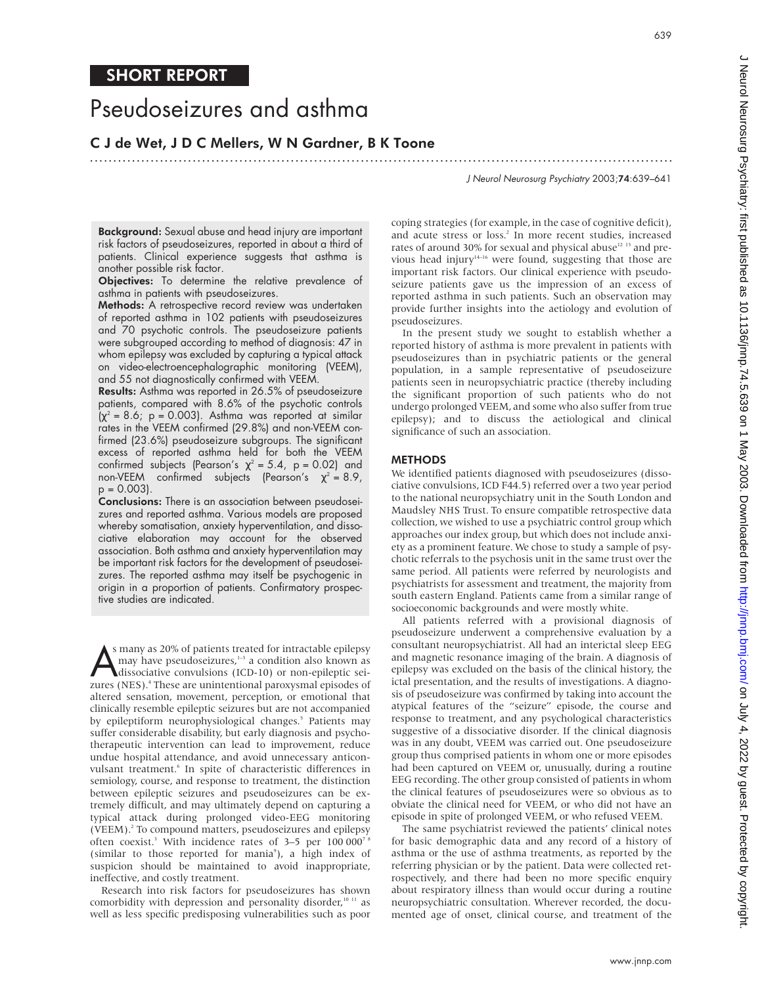# Pseudoseizures and asthma

# C J de Wet, J D C Mellers, W N Gardner, B K Toone

.............................................................................................................................

J Neurol Neurosurg Psychiatry 2003;74:639–641

639

**Background:** Sexual abuse and head injury are important risk factors of pseudoseizures, reported in about a third of patients. Clinical experience suggests that asthma is another possible risk factor.

Objectives: To determine the relative prevalence of asthma in patients with pseudoseizures.

Methods: A retrospective record review was undertaken of reported asthma in 102 patients with pseudoseizures and 70 psychotic controls. The pseudoseizure patients were subgrouped according to method of diagnosis: 47 in whom epilepsy was excluded by capturing a typical attack on video-electroencephalographic monitoring (VEEM), and 55 not diagnostically confirmed with VEEM.

Results: Asthma was reported in 26.5% of pseudoseizure patients, compared with 8.6% of the psychotic controls  $(\chi^2 = 8.6; \, p = 0.003)$ . Asthma was reported at similar rates in the VEEM confirmed (29.8%) and non-VEEM confirmed (23.6%) pseudoseizure subgroups. The significant excess of reported asthma held for both the VEEM confirmed subjects (Pearson's  $\chi^2 = 5.4$ , p = 0.02) and non-VEEM confirmed subjects (Pearson's  $\chi^2 = 8.9$ ,  $p = 0.003$ .

Conclusions: There is an association between pseudoseizures and reported asthma. Various models are proposed whereby somatisation, anxiety hyperventilation, and dissociative elaboration may account for the observed association. Both asthma and anxiety hyperventilation may be important risk factors for the development of pseudoseizures. The reported asthma may itself be psychogenic in origin in a proportion of patients. Confirmatory prospective studies are indicated.

S many as 20% of patients treated for intractable epilepsy<br>may have pseudoseizures,<sup>1-3</sup> a condition also known as<br>dissociative convulsions (ICD-10) or non-epileptic sei-<br>zures (NES).<sup>4</sup> These are unintentional paroxysmal s many as 20% of patients treated for intractable epilepsy may have pseudoseizures, $1-3$  a condition also known as dissociative convulsions (ICD-10) or non-epileptic seialtered sensation, movement, perception, or emotional that clinically resemble epileptic seizures but are not accompanied by epileptiform neurophysiological changes.<sup>5</sup> Patients may suffer considerable disability, but early diagnosis and psychotherapeutic intervention can lead to improvement, reduce undue hospital attendance, and avoid unnecessary anticonvulsant treatment.<sup>6</sup> In spite of characteristic differences in semiology, course, and response to treatment, the distinction between epileptic seizures and pseudoseizures can be extremely difficult, and may ultimately depend on capturing a typical attack during prolonged video-EEG monitoring (VEEM).2 To compound matters, pseudoseizures and epilepsy often coexist.<sup>3</sup> With incidence rates of 3-5 per 100 000<sup>7</sup> (similar to those reported for mania<sup>9</sup>), a high index of suspicion should be maintained to avoid inappropriate, ineffective, and costly treatment.

Research into risk factors for pseudoseizures has shown comorbidity with depression and personality disorder,<sup>10 11</sup> as well as less specific predisposing vulnerabilities such as poor coping strategies (for example, in the case of cognitive deficit), and acute stress or loss.<sup>2</sup> In more recent studies, increased rates of around 30% for sexual and physical abuse<sup>12 13</sup> and previous head injury<sup>14-16</sup> were found, suggesting that those are important risk factors. Our clinical experience with pseudoseizure patients gave us the impression of an excess of reported asthma in such patients. Such an observation may provide further insights into the aetiology and evolution of pseudoseizures.

In the present study we sought to establish whether a reported history of asthma is more prevalent in patients with pseudoseizures than in psychiatric patients or the general population, in a sample representative of pseudoseizure patients seen in neuropsychiatric practice (thereby including the significant proportion of such patients who do not undergo prolonged VEEM, and some who also suffer from true epilepsy); and to discuss the aetiological and clinical significance of such an association.

### **METHODS**

We identified patients diagnosed with pseudoseizures (dissociative convulsions, ICD F44.5) referred over a two year period to the national neuropsychiatry unit in the South London and Maudsley NHS Trust. To ensure compatible retrospective data collection, we wished to use a psychiatric control group which approaches our index group, but which does not include anxiety as a prominent feature. We chose to study a sample of psychotic referrals to the psychosis unit in the same trust over the same period. All patients were referred by neurologists and psychiatrists for assessment and treatment, the majority from south eastern England. Patients came from a similar range of socioeconomic backgrounds and were mostly white.

All patients referred with a provisional diagnosis of pseudoseizure underwent a comprehensive evaluation by a consultant neuropsychiatrist. All had an interictal sleep EEG and magnetic resonance imaging of the brain. A diagnosis of epilepsy was excluded on the basis of the clinical history, the ictal presentation, and the results of investigations. A diagnosis of pseudoseizure was confirmed by taking into account the atypical features of the "seizure" episode, the course and response to treatment, and any psychological characteristics suggestive of a dissociative disorder. If the clinical diagnosis was in any doubt, VEEM was carried out. One pseudoseizure group thus comprised patients in whom one or more episodes had been captured on VEEM or, unusually, during a routine EEG recording. The other group consisted of patients in whom the clinical features of pseudoseizures were so obvious as to obviate the clinical need for VEEM, or who did not have an episode in spite of prolonged VEEM, or who refused VEEM.

The same psychiatrist reviewed the patients' clinical notes for basic demographic data and any record of a history of asthma or the use of asthma treatments, as reported by the referring physician or by the patient. Data were collected retrospectively, and there had been no more specific enquiry about respiratory illness than would occur during a routine neuropsychiatric consultation. Wherever recorded, the documented age of onset, clinical course, and treatment of the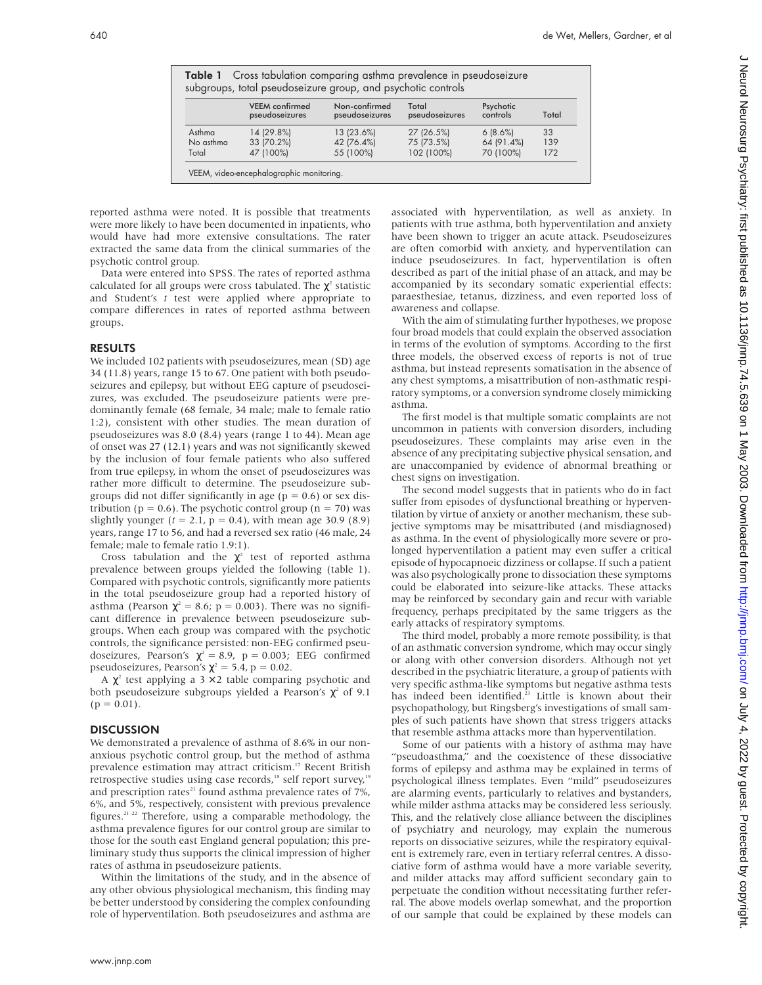|           | <b>VEEM</b> confirmed<br>pseudoseizures | Non-confirmed<br>pseudoseizures | Total<br>pseudoseizures | Psychotic<br>controls | Total |
|-----------|-----------------------------------------|---------------------------------|-------------------------|-----------------------|-------|
| Asthma    | 14 (29.8%)                              | 13 (23.6%)                      | 27 (26.5%)              | 6(8.6%)               | 33    |
| No asthma | 33 (70.2%)                              | 42 (76.4%)                      | 75 (73.5%)              | 64 (91.4%)            | 139   |
| Total     | 47 (100%)                               | 55 (100%)                       | 102 (100%)              | 70 (100%)             | 172   |

reported asthma were noted. It is possible that treatments were more likely to have been documented in inpatients, who would have had more extensive consultations. The rater extracted the same data from the clinical summaries of the psychotic control group.

Data were entered into SPSS. The rates of reported asthma calculated for all groups were cross tabulated. The  $\chi^2$  statistic and Student's *t* test were applied where appropriate to compare differences in rates of reported asthma between groups.

## RESULTS

We included 102 patients with pseudoseizures, mean (SD) age 34 (11.8) years, range 15 to 67. One patient with both pseudoseizures and epilepsy, but without EEG capture of pseudoseizures, was excluded. The pseudoseizure patients were predominantly female (68 female, 34 male; male to female ratio 1:2), consistent with other studies. The mean duration of pseudoseizures was 8.0 (8.4) years (range 1 to 44). Mean age of onset was 27 (12.1) years and was not significantly skewed by the inclusion of four female patients who also suffered from true epilepsy, in whom the onset of pseudoseizures was rather more difficult to determine. The pseudoseizure subgroups did not differ significantly in age ( $p = 0.6$ ) or sex distribution ( $p = 0.6$ ). The psychotic control group ( $n = 70$ ) was slightly younger ( $t = 2.1$ ,  $p = 0.4$ ), with mean age 30.9 (8.9) years, range 17 to 56, and had a reversed sex ratio (46 male, 24 female; male to female ratio 1.9:1).

Cross tabulation and the  $\chi^2$  test of reported asthma prevalence between groups yielded the following (table 1). Compared with psychotic controls, significantly more patients in the total pseudoseizure group had a reported history of asthma (Pearson  $\chi^2 = 8.6$ ; p = 0.003). There was no significant difference in prevalence between pseudoseizure subgroups. When each group was compared with the psychotic controls, the significance persisted: non-EEG confirmed pseudoseizures, Pearson's  $\chi^2 = 8.9$ , p = 0.003; EEG confirmed pseudoseizures, Pearson's  $\chi^2 = 5.4$ , p = 0.02.

A  $\gamma^2$  test applying a  $3 \times 2$  table comparing psychotic and both pseudoseizure subgroups yielded a Pearson's  $\chi^2$  of 9.1  $(p = 0.01)$ .

#### **DISCUSSION**

We demonstrated a prevalence of asthma of 8.6% in our nonanxious psychotic control group, but the method of asthma prevalence estimation may attract criticism.<sup>17</sup> Recent British retrospective studies using case records,<sup>18</sup> self report survey,<sup>19</sup> and prescription rates<sup>21</sup> found asthma prevalence rates of 7%, 6%, and 5%, respectively, consistent with previous prevalence figures.21 22 Therefore, using a comparable methodology, the asthma prevalence figures for our control group are similar to those for the south east England general population; this preliminary study thus supports the clinical impression of higher rates of asthma in pseudoseizure patients.

Within the limitations of the study, and in the absence of any other obvious physiological mechanism, this finding may be better understood by considering the complex confounding role of hyperventilation. Both pseudoseizures and asthma are

associated with hyperventilation, as well as anxiety. In patients with true asthma, both hyperventilation and anxiety have been shown to trigger an acute attack. Pseudoseizures are often comorbid with anxiety, and hyperventilation can induce pseudoseizures. In fact, hyperventilation is often described as part of the initial phase of an attack, and may be accompanied by its secondary somatic experiential effects: paraesthesiae, tetanus, dizziness, and even reported loss of awareness and collapse.

With the aim of stimulating further hypotheses, we propose four broad models that could explain the observed association in terms of the evolution of symptoms. According to the first three models, the observed excess of reports is not of true asthma, but instead represents somatisation in the absence of any chest symptoms, a misattribution of non-asthmatic respiratory symptoms, or a conversion syndrome closely mimicking asthma.

The first model is that multiple somatic complaints are not uncommon in patients with conversion disorders, including pseudoseizures. These complaints may arise even in the absence of any precipitating subjective physical sensation, and are unaccompanied by evidence of abnormal breathing or chest signs on investigation.

The second model suggests that in patients who do in fact suffer from episodes of dysfunctional breathing or hyperventilation by virtue of anxiety or another mechanism, these subjective symptoms may be misattributed (and misdiagnosed) as asthma. In the event of physiologically more severe or prolonged hyperventilation a patient may even suffer a critical episode of hypocapnoeic dizziness or collapse. If such a patient was also psychologically prone to dissociation these symptoms could be elaborated into seizure-like attacks. These attacks may be reinforced by secondary gain and recur with variable frequency, perhaps precipitated by the same triggers as the early attacks of respiratory symptoms.

The third model, probably a more remote possibility, is that of an asthmatic conversion syndrome, which may occur singly or along with other conversion disorders. Although not yet described in the psychiatric literature, a group of patients with very specific asthma-like symptoms but negative asthma tests has indeed been identified.<sup>23</sup> Little is known about their psychopathology, but Ringsberg's investigations of small samples of such patients have shown that stress triggers attacks that resemble asthma attacks more than hyperventilation.

Some of our patients with a history of asthma may have "pseudoasthma," and the coexistence of these dissociative forms of epilepsy and asthma may be explained in terms of psychological illness templates. Even "mild" pseudoseizures are alarming events, particularly to relatives and bystanders, while milder asthma attacks may be considered less seriously. This, and the relatively close alliance between the disciplines of psychiatry and neurology, may explain the numerous reports on dissociative seizures, while the respiratory equivalent is extremely rare, even in tertiary referral centres. A dissociative form of asthma would have a more variable severity, and milder attacks may afford sufficient secondary gain to perpetuate the condition without necessitating further referral. The above models overlap somewhat, and the proportion of our sample that could be explained by these models can